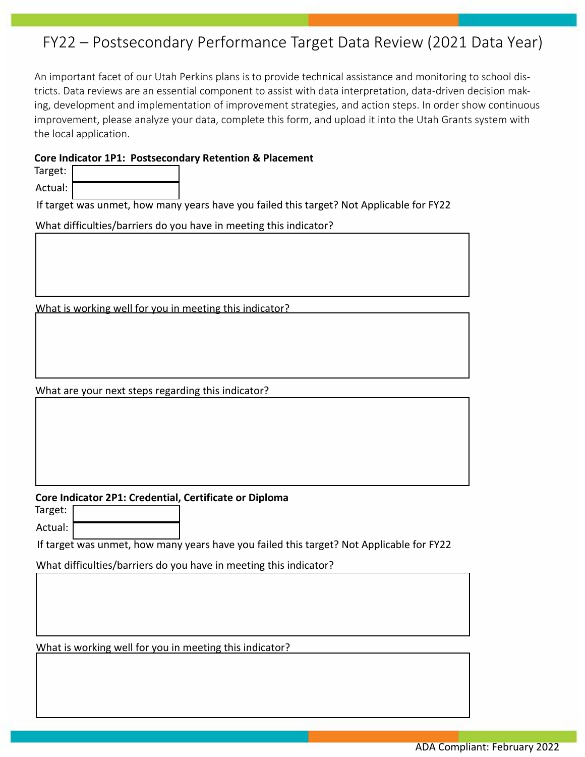## FY22 – Postsecondary Performance Target Data Review (2021 Data Year)

An important facet of our Utah Perkins plans is to provide technical assistance and monitoring to school districts. Data reviews are an essential component to assist with data interpretation, data-driven decision making, development and implementation of improvement strategies, and action steps. In order show continuous improvement, please analyze your data, complete this form, and upload it into the Utah Grants system with the local application.

## **Core Indicator 1P1: Postsecondary Retention & Placement**

| Target:   |  |
|-----------|--|
| Actual: ' |  |

If target was unmet, how many years have you failed this target? Not Applicable for FY22

What difficulties/barriers do you have in meeting this indicator?

What is working well for you in meeting this indicator?

What are your next steps regarding this indicator?

## **Core Indicator 2P1: Credential, Certificate or Diploma**

Target:

Actual:

If target was unmet, how many years have you failed this target? Not Applicable for FY22

What difficulties/barriers do you have in meeting this indicator?

What is working well for you in meeting this indicator?